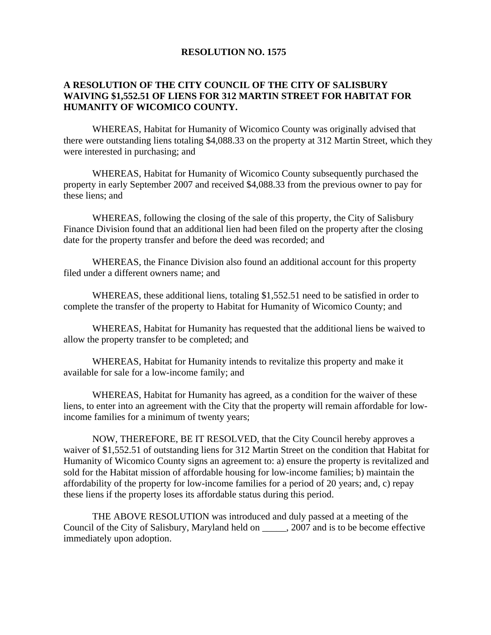## **RESOLUTION NO. 1575**

## **A RESOLUTION OF THE CITY COUNCIL OF THE CITY OF SALISBURY WAIVING \$1,552.51 OF LIENS FOR 312 MARTIN STREET FOR HABITAT FOR HUMANITY OF WICOMICO COUNTY.**

 WHEREAS, Habitat for Humanity of Wicomico County was originally advised that there were outstanding liens totaling \$4,088.33 on the property at 312 Martin Street, which they were interested in purchasing; and

 WHEREAS, Habitat for Humanity of Wicomico County subsequently purchased the property in early September 2007 and received \$4,088.33 from the previous owner to pay for these liens; and

 WHEREAS, following the closing of the sale of this property, the City of Salisbury Finance Division found that an additional lien had been filed on the property after the closing date for the property transfer and before the deed was recorded; and

 WHEREAS, the Finance Division also found an additional account for this property filed under a different owners name; and

 WHEREAS, these additional liens, totaling \$1,552.51 need to be satisfied in order to complete the transfer of the property to Habitat for Humanity of Wicomico County; and

 WHEREAS, Habitat for Humanity has requested that the additional liens be waived to allow the property transfer to be completed; and

 WHEREAS, Habitat for Humanity intends to revitalize this property and make it available for sale for a low-income family; and

 WHEREAS, Habitat for Humanity has agreed, as a condition for the waiver of these liens, to enter into an agreement with the City that the property will remain affordable for lowincome families for a minimum of twenty years;

 NOW, THEREFORE, BE IT RESOLVED, that the City Council hereby approves a waiver of \$1,552.51 of outstanding liens for 312 Martin Street on the condition that Habitat for Humanity of Wicomico County signs an agreement to: a) ensure the property is revitalized and sold for the Habitat mission of affordable housing for low-income families; b) maintain the affordability of the property for low-income families for a period of 20 years; and, c) repay these liens if the property loses its affordable status during this period.

 THE ABOVE RESOLUTION was introduced and duly passed at a meeting of the Council of the City of Salisbury, Maryland held on \_\_\_\_\_, 2007 and is to be become effective immediately upon adoption.